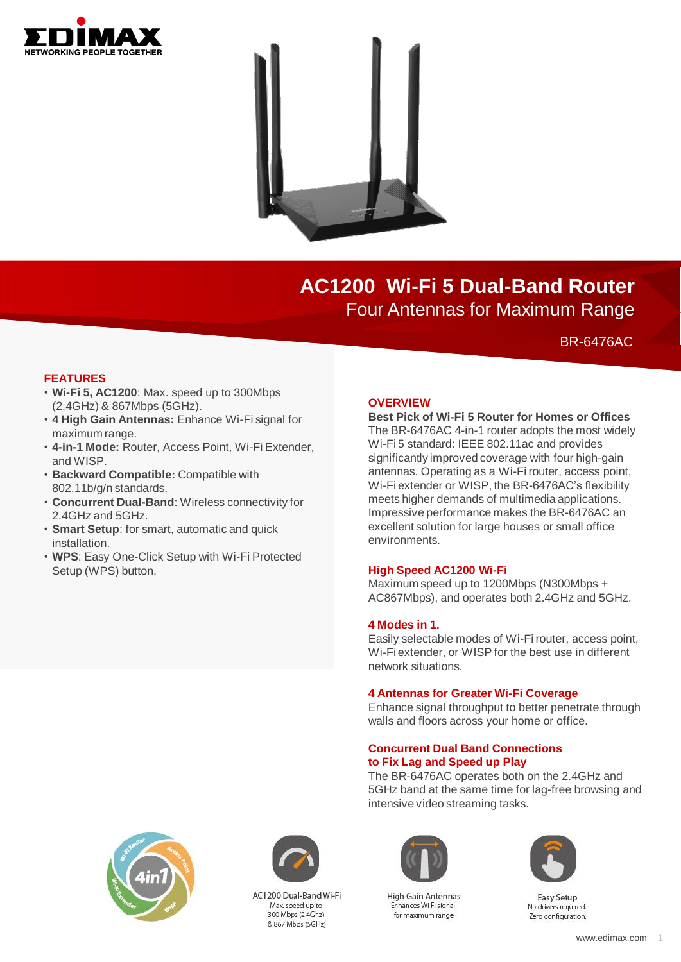



# **AC1200 Wi-Fi 5 Dual-Band Router** Four Antennas for Maximum Range

BR-6476AC

### **FEATURES**

- **Wi-Fi 5, AC1200**: Max. speed up to 300Mbps (2.4GHz) & 867Mbps (5GHz).
- **4 High Gain Antennas:** Enhance Wi-Fi signal for maximum range.
- **4-in-1 Mode:** Router, Access Point, Wi-Fi Extender, and WISP.
- **Backward Compatible:** Compatible with 802.11b/g/n standards.
- **Concurrent Dual-Band**: Wireless connectivity for 2.4GHz and 5GHz.
- **Smart Setup**: for smart, automatic and quick installation.
- **WPS**: Easy One-Click Setup with Wi-Fi Protected Setup (WPS) button.

#### **OVERVIEW**

### **Best Pick of Wi-Fi 5 Router for Homes or Offices**

The BR-6476AC 4-in-1 router adopts the most widely Wi-Fi 5 standard: IEEE 802.11ac and provides significantly improved coverage with four high-gain antennas. Operating as a Wi-Fi router, access point, Wi-Fi extender or WISP, the BR-6476AC's flexibility meets higher demands of multimedia applications. Impressive performance makes the BR-6476AC an excellent solution for large houses or small office environments.

### **High Speed AC1200 Wi-Fi**

Maximum speed up to 1200Mbps (N300Mbps + AC867Mbps), and operates both 2.4GHz and 5GHz.

#### **4 Modes in 1.**

Easily selectable modes of Wi-Fi router, access point, Wi-Fi extender, or WISP for the best use in different network situations.

#### **4 Antennas for Greater Wi-Fi Coverage**

Enhance signal throughput to better penetrate through walls and floors across your home or office.

#### **Concurrent Dual Band Connections to Fix Lag and Speed up Play**

The BR-6476AC operates both on the 2.4GHz and 5GHz band at the same time for lag-free browsing and intensive video streaming tasks.





AC1200 Dual-Band Wi-Fi Max speed up to 300 Mbps (2.4Ghz) & 867 Mbps (5GHz)



**High Gain Antennas** Enhances Wi-Fi signal for maximum range



Easy Setup No drivers required. Zero configuration.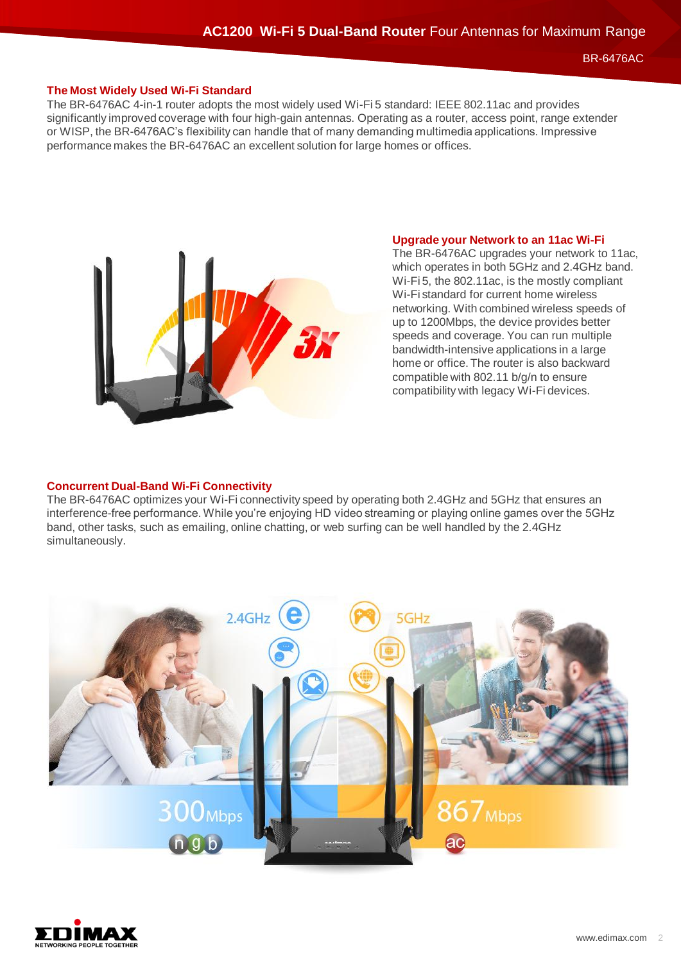BR-6476AC

## **The Most Widely Used Wi-Fi Standard**

The BR-6476AC 4-in-1 router adopts the most widely used Wi-Fi 5 standard: IEEE 802.11ac and provides significantly improved coverage with four high-gain antennas. Operating as a router, access point, range extender or WISP, the BR-6476AC's flexibility can handle that of many demanding multimedia applications. Impressive performance makes the BR-6476AC an excellent solution for large homes or offices.



#### **Upgrade your Network to an 11ac Wi-Fi**

The BR-6476AC upgrades your network to 11ac, which operates in both 5GHz and 2.4GHz band. Wi-Fi 5, the 802.11ac, is the mostly compliant Wi-Fi standard for current home wireless networking. With combined wireless speeds of up to 1200Mbps, the device provides better speeds and coverage. You can run multiple bandwidth-intensive applications in a large home or office. The router is also backward compatible with 802.11 b/g/n to ensure compatibility with legacy Wi-Fi devices.

### **Concurrent Dual-Band Wi-Fi Connectivity**

The BR-6476AC optimizes your Wi-Fi connectivity speed by operating both 2.4GHz and 5GHz that ensures an interference-free performance. While you're enjoying HD video streaming or playing online games over the 5GHz band, other tasks, such as emailing, online chatting, or web surfing can be well handled by the 2.4GHz simultaneously.



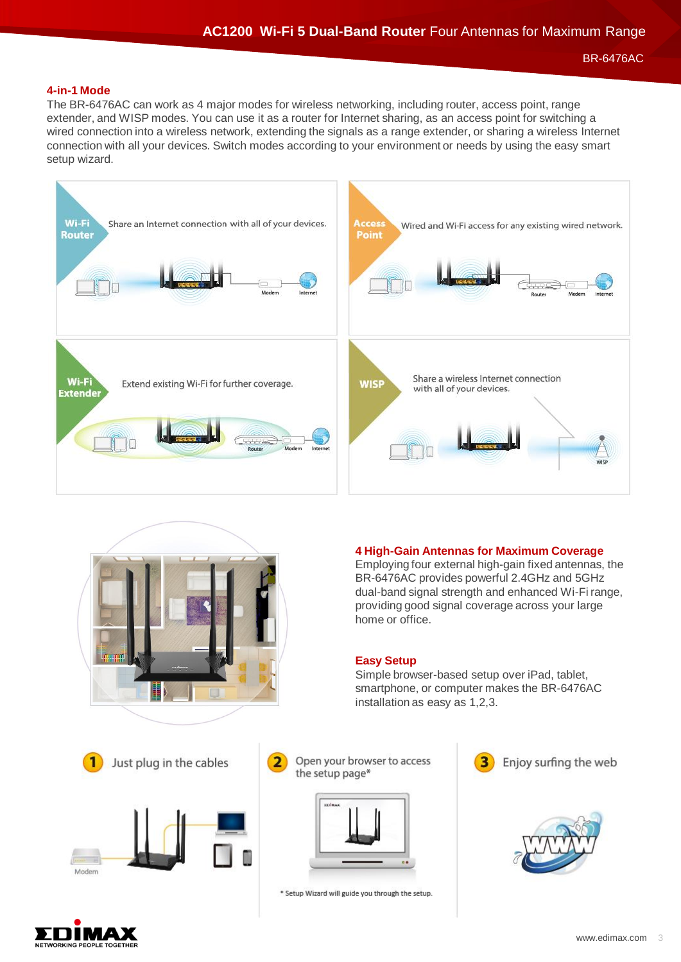BR-6476AC

### **4-in-1 Mode**

The BR-6476AC can work as 4 major modes for wireless networking, including router, access point, range extender, and WISP modes. You can use it as a router for Internet sharing, as an access point for switching a wired connection into a wireless network, extending the signals as a range extender, or sharing a wireless Internet connection with all your devices. Switch modes according to your environment or needs by using the easy smart setup wizard.





#### **4 High-Gain Antennas for Maximum Coverage** Employing four external high-gain fixed antennas, the

BR-6476AC provides powerful 2.4GHz and 5GHz dual-band signal strength and enhanced Wi-Fi range, providing good signal coverage across your large home or office.

### **Easy Setup**

Simple browser-based setup over iPad, tablet, smartphone, or computer makes the BR-6476AC installation as easy as 1,2,3.







\* Setup Wizard will guide you through the setup.









Modern